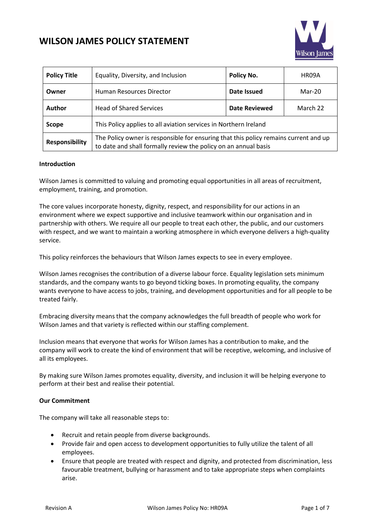

| <b>Policy Title</b>   | Equality, Diversity, and Inclusion                                                                                                                      | Policy No.    | HR09A    |
|-----------------------|---------------------------------------------------------------------------------------------------------------------------------------------------------|---------------|----------|
| Owner                 | Human Resources Director                                                                                                                                | Date Issued   | Mar-20   |
| <b>Author</b>         | <b>Head of Shared Services</b>                                                                                                                          | Date Reviewed | March 22 |
| Scope                 | This Policy applies to all aviation services in Northern Ireland                                                                                        |               |          |
| <b>Responsibility</b> | The Policy owner is responsible for ensuring that this policy remains current and up<br>to date and shall formally review the policy on an annual basis |               |          |

#### **Introduction**

Wilson James is committed to valuing and promoting equal opportunities in all areas of recruitment, employment, training, and promotion.

The core values incorporate honesty, dignity, respect, and responsibility for our actions in an environment where we expect supportive and inclusive teamwork within our organisation and in partnership with others. We require all our people to treat each other, the public, and our customers with respect, and we want to maintain a working atmosphere in which everyone delivers a high-quality service.

This policy reinforces the behaviours that Wilson James expects to see in every employee.

Wilson James recognises the contribution of a diverse labour force. Equality legislation sets minimum standards, and the company wants to go beyond ticking boxes. In promoting equality, the company wants everyone to have access to jobs, training, and development opportunities and for all people to be treated fairly.

Embracing diversity means that the company acknowledges the full breadth of people who work for Wilson James and that variety is reflected within our staffing complement.

Inclusion means that everyone that works for Wilson James has a contribution to make, and the company will work to create the kind of environment that will be receptive, welcoming, and inclusive of all its employees.

By making sure Wilson James promotes equality, diversity, and inclusion it will be helping everyone to perform at their best and realise their potential.

#### **Our Commitment**

The company will take all reasonable steps to:

- Recruit and retain people from diverse backgrounds.
- Provide fair and open access to development opportunities to fully utilize the talent of all employees.
- Ensure that people are treated with respect and dignity, and protected from discrimination, less favourable treatment, bullying or harassment and to take appropriate steps when complaints arise.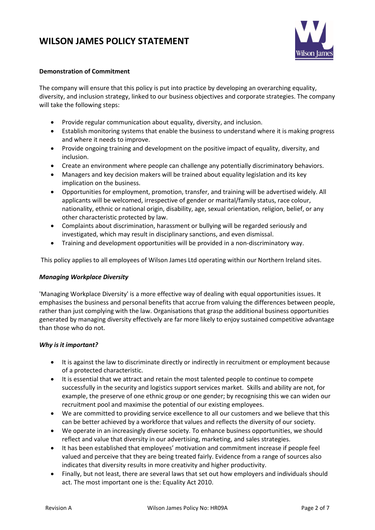

### **Demonstration of Commitment**

The company will ensure that this policy is put into practice by developing an overarching equality, diversity, and inclusion strategy, linked to our business objectives and corporate strategies. The company will take the following steps:

- Provide regular communication about equality, diversity, and inclusion.
- Establish monitoring systems that enable the business to understand where it is making progress and where it needs to improve.
- Provide ongoing training and development on the positive impact of equality, diversity, and inclusion.
- Create an environment where people can challenge any potentially discriminatory behaviors.
- Managers and key decision makers will be trained about equality legislation and its key implication on the business.
- Opportunities for employment, promotion, transfer, and training will be advertised widely. All applicants will be welcomed, irrespective of gender or marital/family status, race colour, nationality, ethnic or national origin, disability, age, sexual orientation, religion, belief, or any other characteristic protected by law.
- Complaints about discrimination, harassment or bullying will be regarded seriously and investigated, which may result in disciplinary sanctions, and even dismissal.
- Training and development opportunities will be provided in a non-discriminatory way.

This policy applies to all employees of Wilson James Ltd operating within our Northern Ireland sites.

### *Managing Workplace Diversity*

'Managing Workplace Diversity' is a more effective way of dealing with equal opportunities issues. It emphasises the business and personal benefits that accrue from valuing the differences between people, rather than just complying with the law. Organisations that grasp the additional business opportunities generated by managing diversity effectively are far more likely to enjoy sustained competitive advantage than those who do not.

### *Why is it important?*

- It is against the law to discriminate directly or indirectly in recruitment or employment because of a protected characteristic.
- It is essential that we attract and retain the most talented people to continue to compete successfully in the security and logistics support services market. Skills and ability are not, for example, the preserve of one ethnic group or one gender; by recognising this we can widen our recruitment pool and maximise the potential of our existing employees.
- We are committed to providing service excellence to all our customers and we believe that this can be better achieved by a workforce that values and reflects the diversity of our society.
- We operate in an increasingly diverse society. To enhance business opportunities, we should reflect and value that diversity in our advertising, marketing, and sales strategies.
- It has been established that employees' motivation and commitment increase if people feel valued and perceive that they are being treated fairly. Evidence from a range of sources also indicates that diversity results in more creativity and higher productivity.
- Finally, but not least, there are several laws that set out how employers and individuals should act. The most important one is the: Equality Act 2010.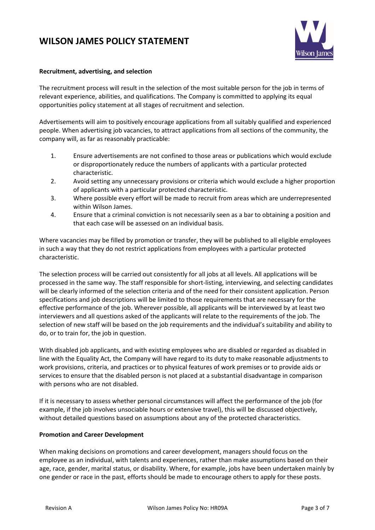

### **Recruitment, advertising, and selection**

The recruitment process will result in the selection of the most suitable person for the job in terms of relevant experience, abilities, and qualifications. The Company is committed to applying its equal opportunities policy statement at all stages of recruitment and selection.

Advertisements will aim to positively encourage applications from all suitably qualified and experienced people. When advertising job vacancies, to attract applications from all sections of the community, the company will, as far as reasonably practicable:

- 1. Ensure advertisements are not confined to those areas or publications which would exclude or disproportionately reduce the numbers of applicants with a particular protected characteristic.
- 2. Avoid setting any unnecessary provisions or criteria which would exclude a higher proportion of applicants with a particular protected characteristic.
- 3. Where possible every effort will be made to recruit from areas which are underrepresented within Wilson James.
- 4. Ensure that a criminal conviction is not necessarily seen as a bar to obtaining a position and that each case will be assessed on an individual basis.

Where vacancies may be filled by promotion or transfer, they will be published to all eligible employees in such a way that they do not restrict applications from employees with a particular protected characteristic.

The selection process will be carried out consistently for all jobs at all levels. All applications will be processed in the same way. The staff responsible for short-listing, interviewing, and selecting candidates will be clearly informed of the selection criteria and of the need for their consistent application. Person specifications and job descriptions will be limited to those requirements that are necessary for the effective performance of the job. Wherever possible, all applicants will be interviewed by at least two interviewers and all questions asked of the applicants will relate to the requirements of the job. The selection of new staff will be based on the job requirements and the individual's suitability and ability to do, or to train for, the job in question.

With disabled job applicants, and with existing employees who are disabled or regarded as disabled in line with the Equality Act, the Company will have regard to its duty to make reasonable adjustments to work provisions, criteria, and practices or to physical features of work premises or to provide aids or services to ensure that the disabled person is not placed at a substantial disadvantage in comparison with persons who are not disabled.

If it is necessary to assess whether personal circumstances will affect the performance of the job (for example, if the job involves unsociable hours or extensive travel), this will be discussed objectively, without detailed questions based on assumptions about any of the protected characteristics.

### **Promotion and Career Development**

When making decisions on promotions and career development, managers should focus on the employee as an individual, with talents and experiences, rather than make assumptions based on their age, race, gender, marital status, or disability. Where, for example, jobs have been undertaken mainly by one gender or race in the past, efforts should be made to encourage others to apply for these posts.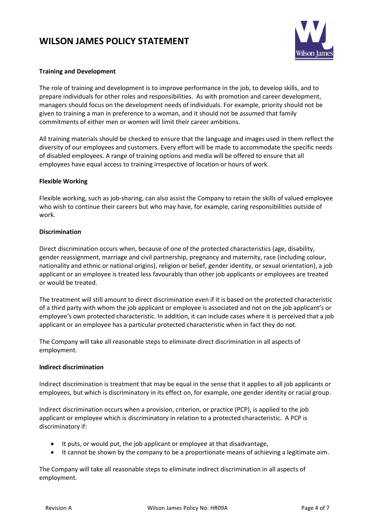

## **Training and Development**

The role of training and development is to improve performance in the job, to develop skills, and to prepare individuals for other roles and responsibilities. As with promotion and career development, managers should focus on the development needs of individuals. For example, priority should not be given to training a man in preference to a woman, and it should not be assumed that family commitments of either men or women will limit their career ambitions.

All training materials should be checked to ensure that the language and images used in them reflect the diversity of our employees and customers. Every effort will be made to accommodate the specific needs of disabled employees. A range of training options and media will be offered to ensure that all employees have equal access to training irrespective of location or hours of work.

### **Flexible Working**

Flexible working, such as job-sharing, can also assist the Company to retain the skills of valued employee who wish to continue their careers but who may have, for example, caring responsibilities outside of work.

### **Discrimination**

Direct discrimination occurs when, because of one of the protected characteristics (age, disability, gender reassignment, marriage and civil partnership, pregnancy and maternity, race (including colour, nationality and ethnic or national origins), religion or belief, gender identity, or sexual orientation), a job applicant or an employee is treated less favourably than other job applicants or employees are treated or would be treated.

The treatment will still amount to direct discrimination even if it is based on the protected characteristic of a third party with whom the job applicant or employee is associated and not on the job applicant's or employee's own protected characteristic. In addition, it can include cases where it is perceived that a job applicant or an employee has a particular protected characteristic when in fact they do not.

The Company will take all reasonable steps to eliminate direct discrimination in all aspects of employment.

### **Indirect discrimination**

Indirect discrimination is treatment that may be equal in the sense that it applies to all job applicants or employees, but which is discriminatory in its effect on, for example, one gender identity or racial group.

Indirect discrimination occurs when a provision, criterion, or practice (PCP), is applied to the job applicant or employee which is discriminatory in relation to a protected characteristic. A PCP is discriminatory if:

- It puts, or would put, the job applicant or employee at that disadvantage,
- It cannot be shown by the company to be a proportionate means of achieving a legitimate aim.

The Company will take all reasonable steps to eliminate indirect discrimination in all aspects of employment.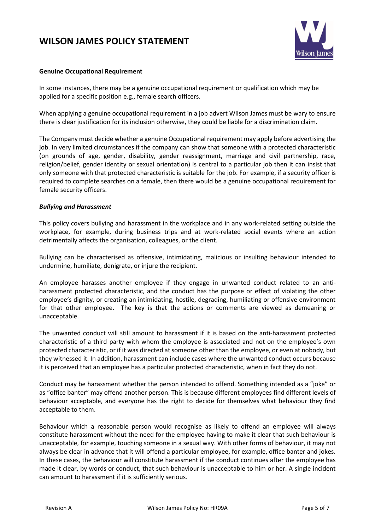

#### **Genuine Occupational Requirement**

In some instances, there may be a genuine occupational requirement or qualification which may be applied for a specific position e.g., female search officers.

When applying a genuine occupational requirement in a job advert Wilson James must be wary to ensure there is clear justification for its inclusion otherwise, they could be liable for a discrimination claim.

The Company must decide whether a genuine Occupational requirement may apply before advertising the job. In very limited circumstances if the company can show that someone with a protected characteristic (on grounds of age, gender, disability, gender reassignment, marriage and civil partnership, race, religion/belief, gender identity or sexual orientation) is central to a particular job then it can insist that only someone with that protected characteristic is suitable for the job. For example, if a security officer is required to complete searches on a female, then there would be a genuine occupational requirement for female security officers.

#### *Bullying and Harassment*

This policy covers bullying and harassment in the workplace and in any work-related setting outside the workplace, for example, during business trips and at work-related social events where an action detrimentally affects the organisation, colleagues, or the client.

Bullying can be characterised as offensive, intimidating, malicious or insulting behaviour intended to undermine, humiliate, denigrate, or injure the recipient.

An employee harasses another employee if they engage in unwanted conduct related to an antiharassment protected characteristic, and the conduct has the purpose or effect of violating the other employee's dignity, or creating an intimidating, hostile, degrading, humiliating or offensive environment for that other employee. The key is that the actions or comments are viewed as demeaning or unacceptable.

The unwanted conduct will still amount to harassment if it is based on the anti-harassment protected characteristic of a third party with whom the employee is associated and not on the employee's own protected characteristic, or if it was directed at someone other than the employee, or even at nobody, but they witnessed it. In addition, harassment can include cases where the unwanted conduct occurs because it is perceived that an employee has a particular protected characteristic, when in fact they do not.

Conduct may be harassment whether the person intended to offend. Something intended as a "joke" or as "office banter" may offend another person. This is because different employees find different levels of behaviour acceptable, and everyone has the right to decide for themselves what behaviour they find acceptable to them.

Behaviour which a reasonable person would recognise as likely to offend an employee will always constitute harassment without the need for the employee having to make it clear that such behaviour is unacceptable, for example, touching someone in a sexual way. With other forms of behaviour, it may not always be clear in advance that it will offend a particular employee, for example, office banter and jokes. In these cases, the behaviour will constitute harassment if the conduct continues after the employee has made it clear, by words or conduct, that such behaviour is unacceptable to him or her. A single incident can amount to harassment if it is sufficiently serious.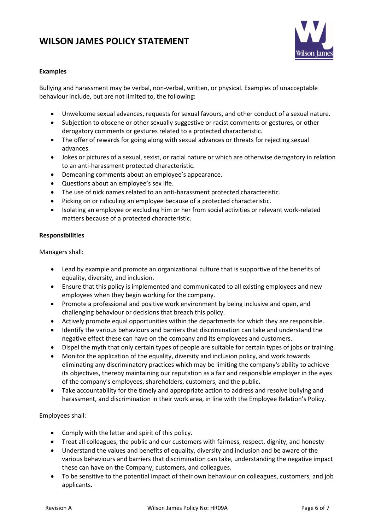

## **Examples**

Bullying and harassment may be verbal, non-verbal, written, or physical. Examples of unacceptable behaviour include, but are not limited to, the following:

- Unwelcome sexual advances, requests for sexual favours, and other conduct of a sexual nature.
- Subjection to obscene or other sexually suggestive or racist comments or gestures, or other derogatory comments or gestures related to a protected characteristic.
- The offer of rewards for going along with sexual advances or threats for rejecting sexual advances.
- Jokes or pictures of a sexual, sexist, or racial nature or which are otherwise derogatory in relation to an anti-harassment protected characteristic.
- Demeaning comments about an employee's appearance.
- Questions about an employee's sex life.
- The use of nick names related to an anti-harassment protected characteristic.
- Picking on or ridiculing an employee because of a protected characteristic.
- Isolating an employee or excluding him or her from social activities or relevant work-related matters because of a protected characteristic.

### **Responsibilities**

Managers shall:

- Lead by example and promote an organizational culture that is supportive of the benefits of equality, diversity, and inclusion.
- Ensure that this policy is implemented and communicated to all existing employees and new employees when they begin working for the company.
- Promote a professional and positive work environment by being inclusive and open, and challenging behaviour or decisions that breach this policy.
- Actively promote equal opportunities within the departments for which they are responsible.
- Identify the various behaviours and barriers that discrimination can take and understand the negative effect these can have on the company and its employees and customers.
- Dispel the myth that only certain types of people are suitable for certain types of jobs or training.
- Monitor the application of the equality, diversity and inclusion policy, and work towards eliminating any discriminatory practices which may be limiting the company's ability to achieve its objectives, thereby maintaining our reputation as a fair and responsible employer in the eyes of the company's employees, shareholders, customers, and the public.
- Take accountability for the timely and appropriate action to address and resolve bullying and harassment, and discrimination in their work area, in line with the Employee Relation's Policy.

Employees shall:

- Comply with the letter and spirit of this policy.
- Treat all colleagues, the public and our customers with fairness, respect, dignity, and honesty
- Understand the values and benefits of equality, diversity and inclusion and be aware of the various behaviours and barriers that discrimination can take, understanding the negative impact these can have on the Company, customers, and colleagues.
- To be sensitive to the potential impact of their own behaviour on colleagues, customers, and job applicants.